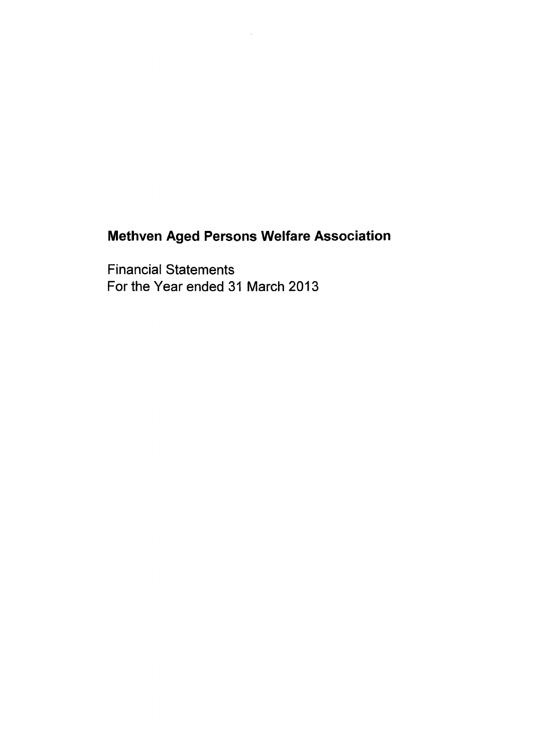Financial Statements For the Year ended 31 March 2013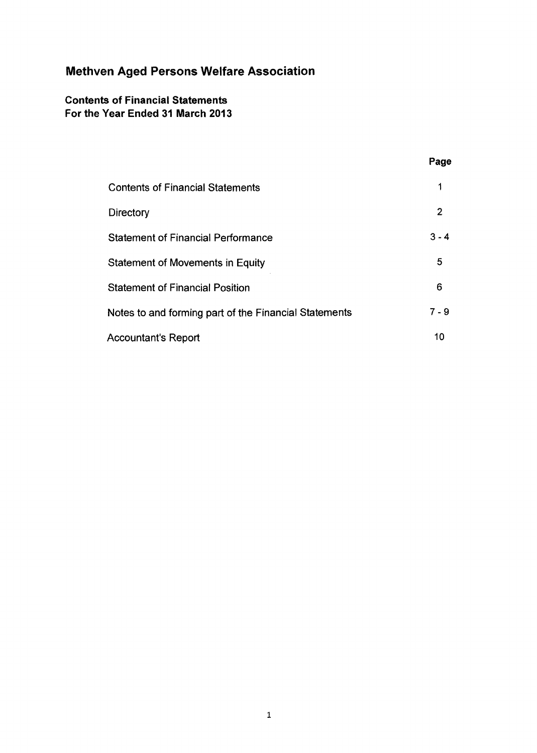### **Contents of Financial Statements For the Year Ended 31 March 2013**

|                                                       | Page           |
|-------------------------------------------------------|----------------|
| <b>Contents of Financial Statements</b>               | 1              |
| Directory                                             | $\overline{2}$ |
| <b>Statement of Financial Performance</b>             | $3 - 4$        |
| Statement of Movements in Equity                      | 5              |
| <b>Statement of Financial Position</b>                | 6              |
| Notes to and forming part of the Financial Statements | 7 - 9          |
| <b>Accountant's Report</b>                            | 10             |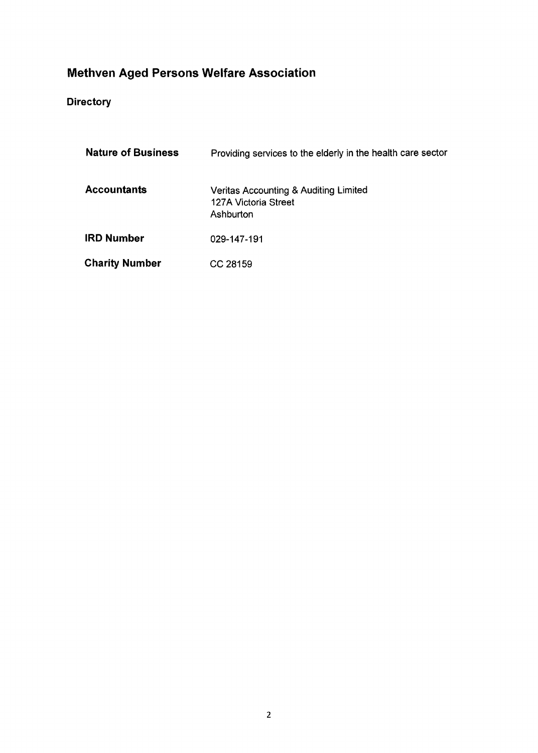## **Directory**

| <b>Nature of Business</b> | Providing services to the elderly in the health care sector                |
|---------------------------|----------------------------------------------------------------------------|
| <b>Accountants</b>        | Veritas Accounting & Auditing Limited<br>127A Victoria Street<br>Ashburton |
| <b>IRD Number</b>         | 029-147-191                                                                |
| <b>Charity Number</b>     | CC 28159                                                                   |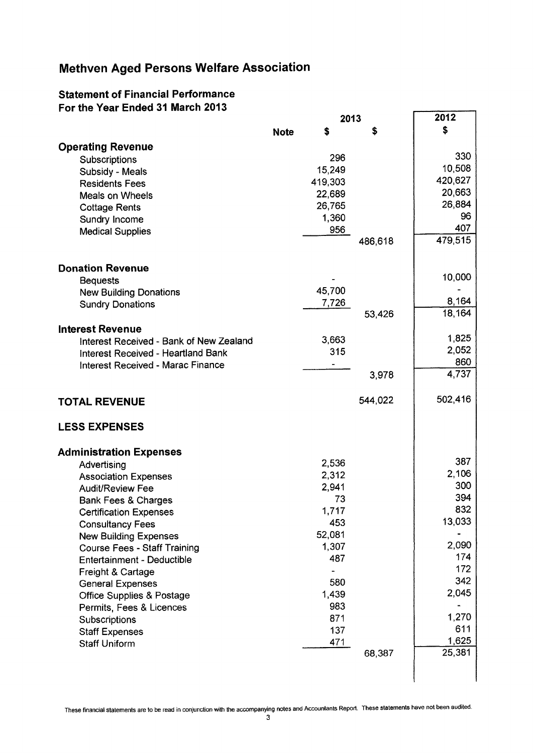#### **Statement of Financial Performance For the Year Ended 31 March 2013**

|                                          |             | 2013    |         | 2012         |
|------------------------------------------|-------------|---------|---------|--------------|
|                                          | <b>Note</b> | \$      | S       | \$           |
| <b>Operating Revenue</b>                 |             |         |         |              |
| Subscriptions                            |             | 296     |         | 330          |
| Subsidy - Meals                          |             | 15,249  |         | 10,508       |
| <b>Residents Fees</b>                    |             | 419,303 |         | 420,627      |
| Meals on Wheels                          |             | 22,689  |         | 20,663       |
| <b>Cottage Rents</b>                     |             | 26,765  |         | 26,884       |
| Sundry Income                            |             | 1,360   |         | 96           |
| <b>Medical Supplies</b>                  |             | 956     |         | 407          |
|                                          |             |         | 486,618 | 479,515      |
| <b>Donation Revenue</b>                  |             |         |         |              |
| <b>Bequests</b>                          |             |         |         | 10,000       |
| <b>New Building Donations</b>            |             | 45,700  |         |              |
| <b>Sundry Donations</b>                  |             | 7,726   |         | 8,164        |
|                                          |             |         | 53,426  | 18,164       |
| <b>Interest Revenue</b>                  |             |         |         |              |
| Interest Received - Bank of New Zealand  |             | 3,663   |         | 1,825        |
| Interest Received - Heartland Bank       |             | 315     |         | 2,052        |
| <b>Interest Received - Marac Finance</b> |             |         |         | 860          |
|                                          |             |         | 3,978   | 4,737        |
|                                          |             |         |         |              |
| <b>TOTAL REVENUE</b>                     |             |         | 544,022 | 502,416      |
| <b>LESS EXPENSES</b>                     |             |         |         |              |
|                                          |             |         |         |              |
| <b>Administration Expenses</b>           |             |         |         |              |
| Advertising                              |             | 2,536   |         | 387          |
| <b>Association Expenses</b>              |             | 2,312   |         | 2,106        |
| <b>Audit/Review Fee</b>                  |             | 2,941   |         | 300          |
| <b>Bank Fees &amp; Charges</b>           |             | 73      |         | 394          |
| <b>Certification Expenses</b>            |             | 1,717   |         | 832          |
| <b>Consultancy Fees</b>                  |             | 453     |         | 13,033       |
| <b>New Building Expenses</b>             |             | 52,081  |         |              |
| <b>Course Fees - Staff Training</b>      |             | 1,307   |         | 2,090        |
| <b>Entertainment - Deductible</b>        |             | 487     |         | 174          |
| Freight & Cartage                        |             |         |         | 172          |
| <b>General Expenses</b>                  |             | 580     |         | 342          |
| <b>Office Supplies &amp; Postage</b>     |             | 1,439   |         | 2,045        |
| Permits, Fees & Licences                 |             | 983     |         |              |
| Subscriptions                            |             | 871     |         | 1,270        |
| <b>Staff Expenses</b>                    |             | 137     |         | 611<br>1,625 |
| <b>Staff Uniform</b>                     |             | 471     | 68,387  | 25,381       |
|                                          |             |         |         |              |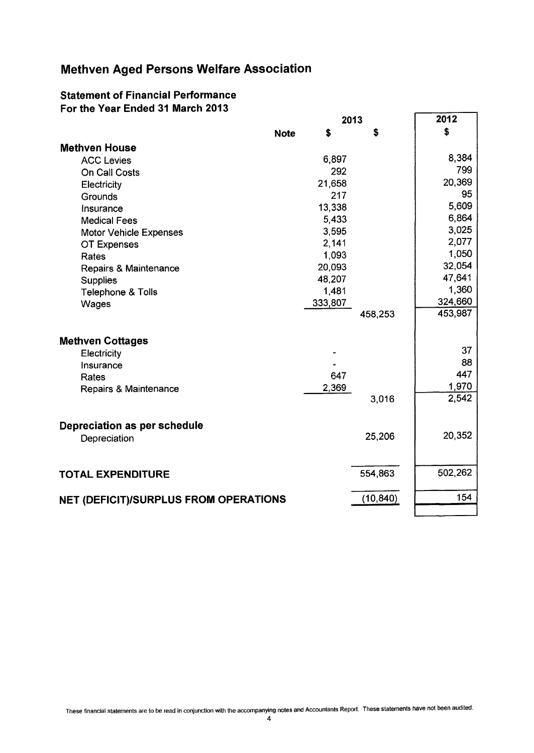#### **Statement of Financial Performance For the Year Ended 31 March 2013**

|                                       | 2013        |         |           | 2012    |
|---------------------------------------|-------------|---------|-----------|---------|
|                                       | <b>Note</b> | S       | S         | \$      |
| <b>Methven House</b>                  |             |         |           |         |
| <b>ACC Levies</b>                     |             | 6,897   |           | 8,384   |
| On Call Costs                         |             | 292     |           | 799     |
| Electricity                           |             | 21,658  |           | 20,369  |
| Grounds                               |             | 217     |           | 95      |
| Insurance                             |             | 13,338  |           | 5,609   |
| <b>Medical Fees</b>                   |             | 5,433   |           | 6,864   |
| <b>Motor Vehicle Expenses</b>         |             | 3,595   |           | 3,025   |
| OT Expenses                           |             | 2,141   |           | 2,077   |
| Rates                                 |             | 1,093   |           | 1,050   |
| Repairs & Maintenance                 |             | 20,093  |           | 32,054  |
| <b>Supplies</b>                       |             | 48,207  |           | 47,641  |
| Telephone & Tolls                     |             | 1,481   |           | 1,360   |
| Wages                                 |             | 333,807 |           | 324,660 |
|                                       |             |         | 458,253   | 453,987 |
| <b>Methven Cottages</b>               |             |         |           |         |
| Electricity                           |             |         |           | 37      |
| Insurance                             |             |         |           | 88      |
| Rates                                 |             | 647     |           | 447     |
| <b>Repairs &amp; Maintenance</b>      |             | 2,369   |           | 1,970   |
|                                       |             |         | 3,016     | 2,542   |
| Depreciation as per schedule          |             |         |           |         |
| Depreciation                          |             |         | 25,206    | 20,352  |
|                                       |             |         |           |         |
| <b>TOTAL EXPENDITURE</b>              |             |         | 554,863   | 502,262 |
|                                       |             |         |           |         |
| NET (DEFICIT)/SURPLUS FROM OPERATIONS |             |         | (10, 840) | 154     |
|                                       |             |         |           |         |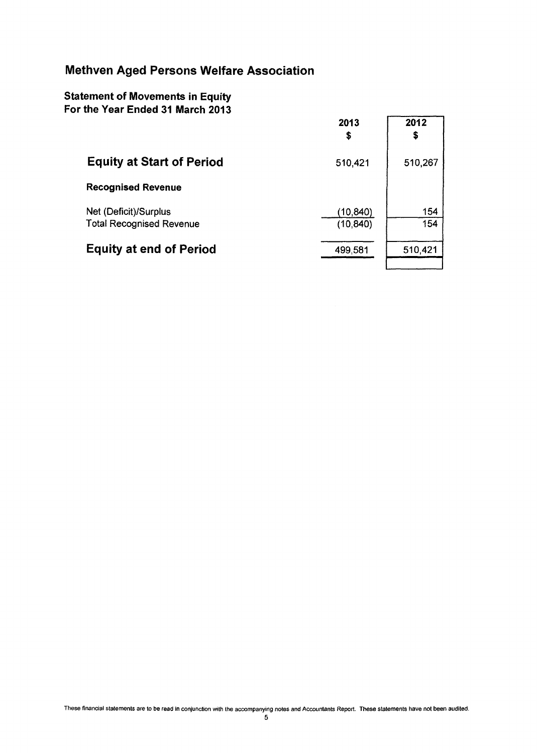### **Statement of Movements in Equity For the Year Ended 31 March 2013**

|                                                          | 2013<br>\$            | 2012<br>\$ |
|----------------------------------------------------------|-----------------------|------------|
| <b>Equity at Start of Period</b>                         | 510,421               | 510,267    |
| <b>Recognised Revenue</b>                                |                       |            |
| Net (Deficit)/Surplus<br><b>Total Recognised Revenue</b> | (10,840)<br>(10, 840) | 154<br>154 |
| <b>Equity at end of Period</b>                           | 499,581               | 510,421    |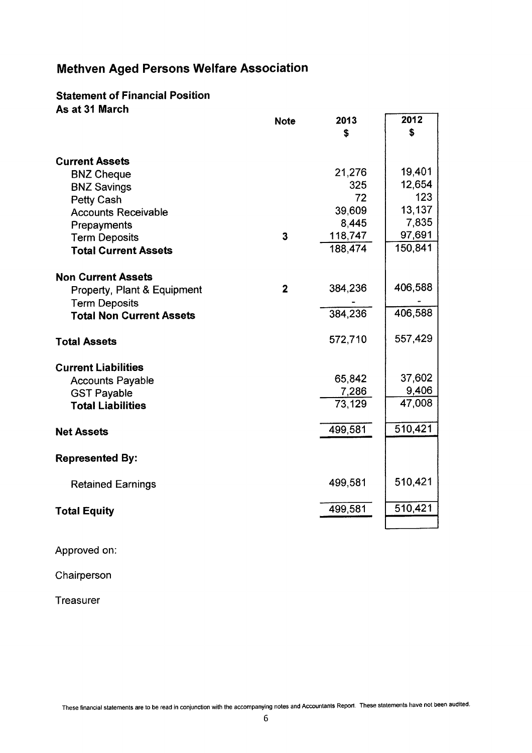#### **Statement of Financial Position As at 31 March**

|                                 | <b>Note</b>    | 2013            | 2012    |
|---------------------------------|----------------|-----------------|---------|
|                                 |                | \$              | \$      |
|                                 |                |                 |         |
| <b>Current Assets</b>           |                |                 |         |
| <b>BNZ Cheque</b>               |                | 21,276          | 19,401  |
| <b>BNZ Savings</b>              |                | 325             | 12,654  |
| <b>Petty Cash</b>               |                | 72              | 123     |
| <b>Accounts Receivable</b>      |                | 39,609          | 13,137  |
| Prepayments                     |                | 8,445           | 7,835   |
| <b>Term Deposits</b>            | 3              | 118,747         | 97,691  |
| <b>Total Current Assets</b>     |                | 188,474         | 150,841 |
|                                 |                |                 |         |
| <b>Non Current Assets</b>       |                |                 | 406,588 |
| Property, Plant & Equipment     | $\overline{2}$ | 384,236         |         |
| <b>Term Deposits</b>            |                |                 |         |
| <b>Total Non Current Assets</b> |                | 384,236         | 406,588 |
| <b>Total Assets</b>             |                | 572,710         | 557,429 |
|                                 |                |                 |         |
| <b>Current Liabilities</b>      |                | 65,842          | 37,602  |
| <b>Accounts Payable</b>         |                |                 | 9,406   |
| <b>GST Payable</b>              |                | 7,286<br>73,129 | 47,008  |
| <b>Total Liabilities</b>        |                |                 |         |
| <b>Net Assets</b>               |                | 499,581         | 510,421 |
|                                 |                |                 |         |
| <b>Represented By:</b>          |                |                 |         |
| <b>Retained Earnings</b>        |                | 499,581         | 510,421 |
| <b>Total Equity</b>             |                | 499,581         | 510,421 |
|                                 |                |                 |         |

Approved on:

Chairperson

Treasurer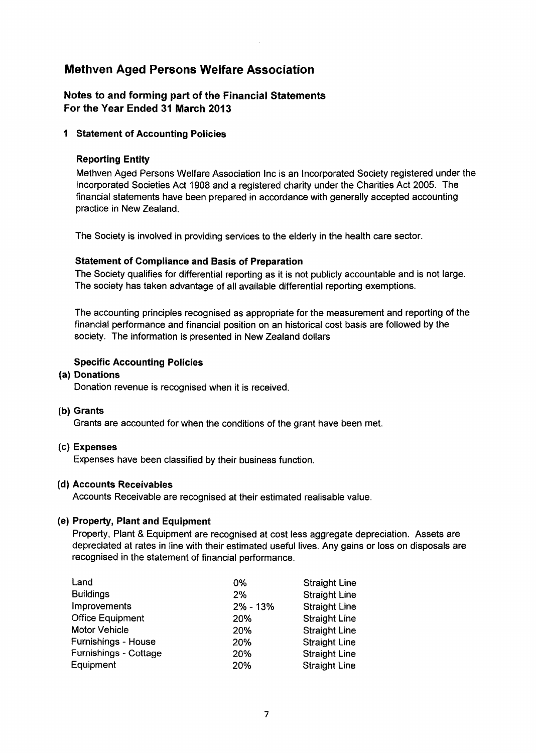#### Notes to and forming part of the Financial Statements For the Year Ended 31 March 2013

#### 1 Statement of Accounting Policies

#### Reporting Entity

Methven Aged Persons Welfare Association Inc is an Incorporated Society registered under the Incorporated Societies Act 1908 and a registered charity under the Charities Act 2005. The financial statements have been prepared in accordance with generally accepted accounting practice in New Zealand.

The Society is involved in providing services to the elderly in the health care sector.

#### Statement of Compliance and Basis of Preparation

The Society qualifies for differential reporting as it is not publicly accountable and is not large. The society has taken advantage of all available differential reporting exemptions.

The accounting principles recognised as appropriate for the measurement and reporting of the financial performance and financial position on an historical cost basis are followed by the society. The information is presented in New Zealand dollars

#### Specific Accounting Policies

#### (a) Donations

Donation revenue is recognised when it is received.

#### (b) Grants

Grants are accounted for when the conditions of the grant have been met.

#### (c) Expenses

Expenses have been classified by their business function.

#### (d) Accounts Receivables

Accounts Receivable are recognised at their estimated realisable value.

#### (e) Property, Plant and Equipment

Property, Plant & Equipment are recognised at cost less aggregate depreciation. Assets are depreciated at rates in line with their estimated useful lives. Any gains or loss on disposals are recognised in the statement of financial performance.

| Land                    | 0%           | <b>Straight Line</b> |
|-------------------------|--------------|----------------------|
| <b>Buildings</b>        | 2%           | <b>Straight Line</b> |
| Improvements            | $2\% - 13\%$ | <b>Straight Line</b> |
| <b>Office Equipment</b> | 20%          | <b>Straight Line</b> |
| Motor Vehicle           | 20%          | <b>Straight Line</b> |
| Furnishings - House     | 20%          | <b>Straight Line</b> |
| Furnishings - Cottage   | 20%          | <b>Straight Line</b> |
| Equipment               | 20%          | <b>Straight Line</b> |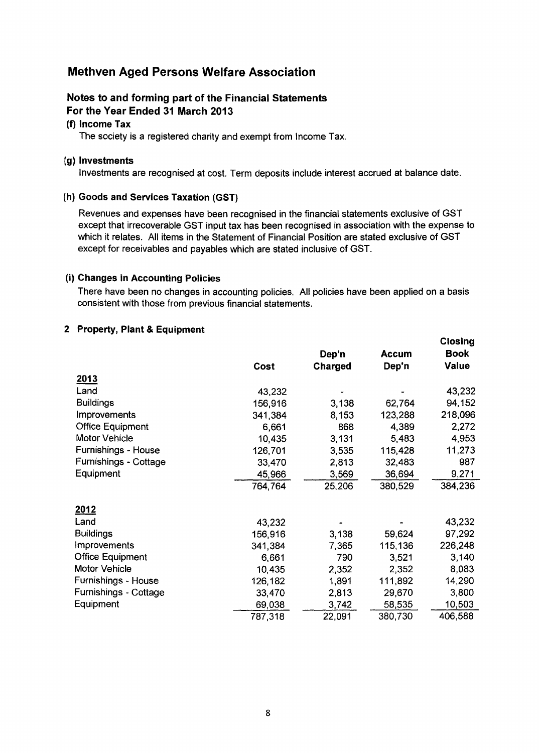#### Notes to and forming part of the Financial Statements For the Year Ended 31 March 2013

#### (f) Income Tax

The society is a registered charity and exempt from Income Tax.

#### (g) Investments

Investments are recognised at cost. Term deposits include interest accrued at balance date.

#### (h) Goods and Services Taxation (GST)

Revenues and expenses have been recognised in the financial statements exclusive of GST except that irrecoverable GST input tax has been recognised in association with the expense to which it relates. All items in the Statement of Financial Position are stated exclusive of GST except for receivables and payables which are stated inclusive of GST.

#### (i) Changes in Accounting Policies

There have been no changes in accounting policies. All policies have been applied on a basis consistent with those from previous financial statements.

Closing

#### 2 Property, Plant & Equipment

|                         |         |         |              | -           |
|-------------------------|---------|---------|--------------|-------------|
|                         |         | Dep'n   | <b>Accum</b> | <b>Book</b> |
|                         | Cost    | Charged | Dep'n        | Value       |
| <u>2013</u>             |         |         |              |             |
| Land                    | 43,232  |         |              | 43,232      |
| <b>Buildings</b>        | 156,916 | 3,138   | 62,764       | 94,152      |
| <b>Improvements</b>     | 341,384 | 8,153   | 123,288      | 218,096     |
| <b>Office Equipment</b> | 6,661   | 868     | 4,389        | 2,272       |
| Motor Vehicle           | 10,435  | 3,131   | 5,483        | 4,953       |
| Furnishings - House     | 126,701 | 3,535   | 115,428      | 11,273      |
| Furnishings - Cottage   | 33,470  | 2,813   | 32,483       | 987         |
| Equipment               | 45,966  | 3,569   | 36,694       | 9,271       |
|                         | 764,764 | 25,206  | 380,529      | 384,236     |
| <u>2012</u>             |         |         |              |             |
| Land                    | 43,232  |         |              | 43,232      |
| <b>Buildings</b>        | 156,916 | 3,138   | 59,624       | 97,292      |
| Improvements            | 341,384 | 7,365   | 115,136      | 226,248     |
| <b>Office Equipment</b> | 6,661   | 790     | 3,521        | 3,140       |
| Motor Vehicle           | 10,435  | 2,352   | 2,352        | 8,083       |
| Furnishings - House     | 126,182 | 1,891   | 111,892      | 14,290      |
| Furnishings - Cottage   | 33,470  | 2,813   | 29,670       | 3,800       |
| Equipment               | 69,038  | 3,742   | 58,535       | 10,503      |
|                         | 787,318 | 22,091  | 380,730      | 406,588     |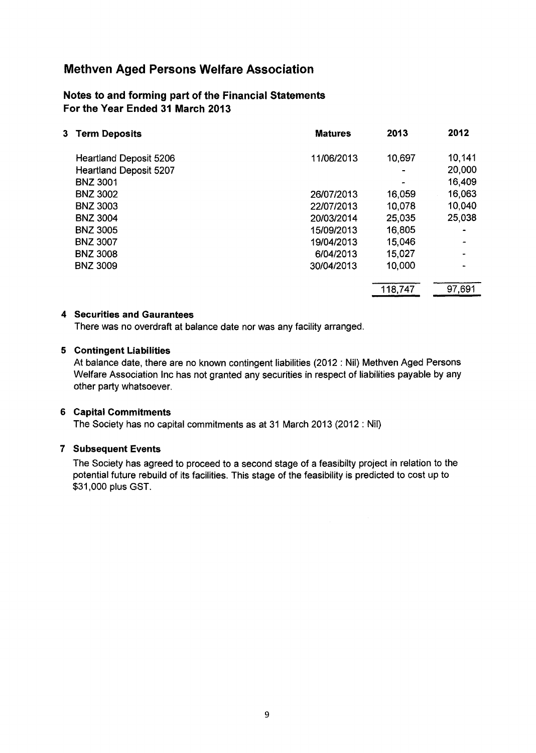#### **Notes to and forming part of the Financial Statements For the Year Ended 31 March 2013**

| <b>Term Deposits</b><br>3.    | <b>Matures</b> | 2013    | 2012   |
|-------------------------------|----------------|---------|--------|
| <b>Heartland Deposit 5206</b> | 11/06/2013     | 10,697  | 10,141 |
| <b>Heartland Deposit 5207</b> |                |         | 20,000 |
| <b>BNZ 3001</b>               |                |         | 16,409 |
| <b>BNZ 3002</b>               | 26/07/2013     | 16,059  | 16,063 |
| <b>BNZ 3003</b>               | 22/07/2013     | 10,078  | 10,040 |
| <b>BNZ 3004</b>               | 20/03/2014     | 25,035  | 25,038 |
| <b>BNZ 3005</b>               | 15/09/2013     | 16,805  |        |
| <b>BNZ 3007</b>               | 19/04/2013     | 15,046  |        |
| <b>BNZ 3008</b>               | 6/04/2013      | 15,027  |        |
| <b>BNZ 3009</b>               | 30/04/2013     | 10,000  |        |
|                               |                | 118,747 | 97,691 |

#### **4 Securities and Gaurantees**

There was no overdraft at balance date nor was any facility arranged.

#### **5 Contingent Liabilities**

At balance date, there are no known contingent liabilities (2012 : Nil) Methven Aged Persons Welfare Association Inc has not granted any securities in respect of liabilities payable by any other party whatsoever.

#### **6 Capital Commitments**

The Society has no capital commitments as at 31 March 2013 (2012 : Nil)

#### **7 Subsequent Events**

The Society has agreed to proceed to a second stage of a feasibilty project in relation to the potential future rebuild of its facilities. This stage of the feasibility is predicted to cost up to \$31,000 plus GST.